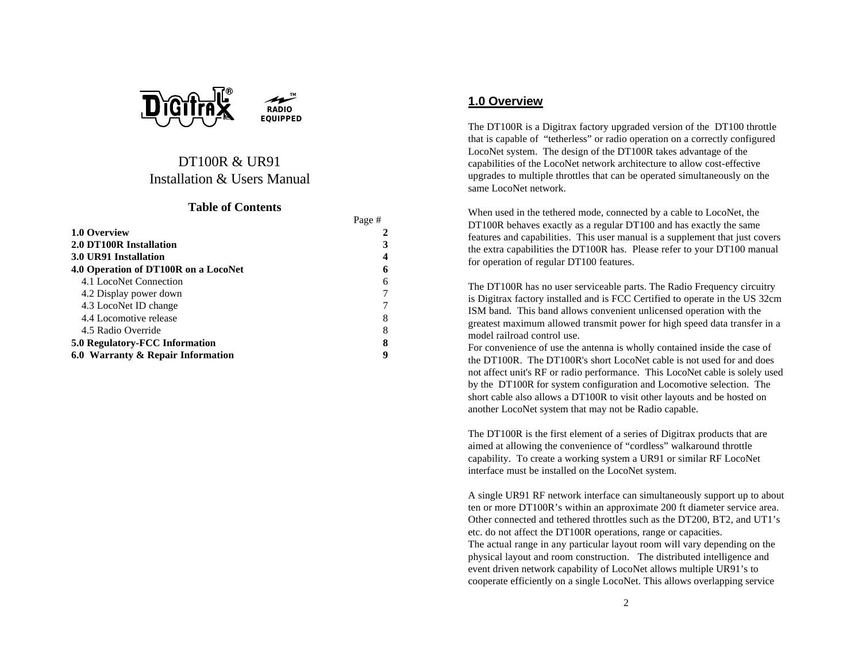



**TM**

#### **Table of Contents**

|                                      | Page # |
|--------------------------------------|--------|
| 1.0 Overview                         |        |
| 2.0 DT100R Installation              |        |
| 3.0 UR91 Installation                |        |
| 4.0 Operation of DT100R on a LocoNet |        |
| 4.1 LocoNet Connection               |        |
| 4.2 Display power down               |        |
| 4.3 LocoNet ID change                |        |
| 4.4 Locomotive release               |        |
| 4.5 Radio Override                   | 8      |
| 5.0 Regulatory-FCC Information       |        |
| 6.0 Warranty & Repair Information    |        |

## **1.0 Overview**

The DT100R is a Digitrax factory upgraded version of the DT100 throttle that is capable of "tetherless" or radio operation on a correctly configured LocoNet system. The design of the DT100R takes advantage of the capabilities of the LocoNet network architecture to allow cost-effective upgrades to multiple throttles that can be operated simultaneously on the same LocoNet network.

When used in the tethered mode, connected by a cable to LocoNet, the DT100R behaves exactly as a regular DT100 and has exactly the same features and capabilities. This user manual is a supplement that just covers the extra capabilities the DT100R has. Please refer to your DT100 manual for operation of regular DT100 features.

The DT100R has no user serviceable parts. The Radio Frequency circuitry is Digitrax factory installed and is FCC Certified to operate in the US 32cm ISM band. This band allows convenient unlicensed operation with the greatest maximum allowed transmit power for high speed data transfer in a model railroad control use.

For convenience of use the antenna is wholly contained inside the case of the DT100R. The DT100R's short LocoNet cable is not used for and does not affect unit's RF or radio performance. This LocoNet cable is solely used by the DT100R for system configuration and Locomotive selection. The short cable also allows a DT100R to visit other layouts and be hosted on another LocoNet system that may not be Radio capable.

The DT100R is the first element of a series of Digitrax products that are aimed at allowing the convenience of "cordless" walkaround throttle capability. To create a working system a UR91 or similar RF LocoNet interface must be installed on the LocoNet system.

A single UR91 RF network interface can simultaneously support up to about ten or more DT100R's within an approximate 200 ft diameter service area. Other connected and tethered throttles such as the DT200, BT2, and UT1's etc. do not affect the DT100R operations, range or capacities. The actual range in any particular layout room will vary depending on the physical layout and room construction. The distributed intelligence and event driven network capability of LocoNet allows multiple UR91's to cooperate efficiently on a single LocoNet. This allows overlapping service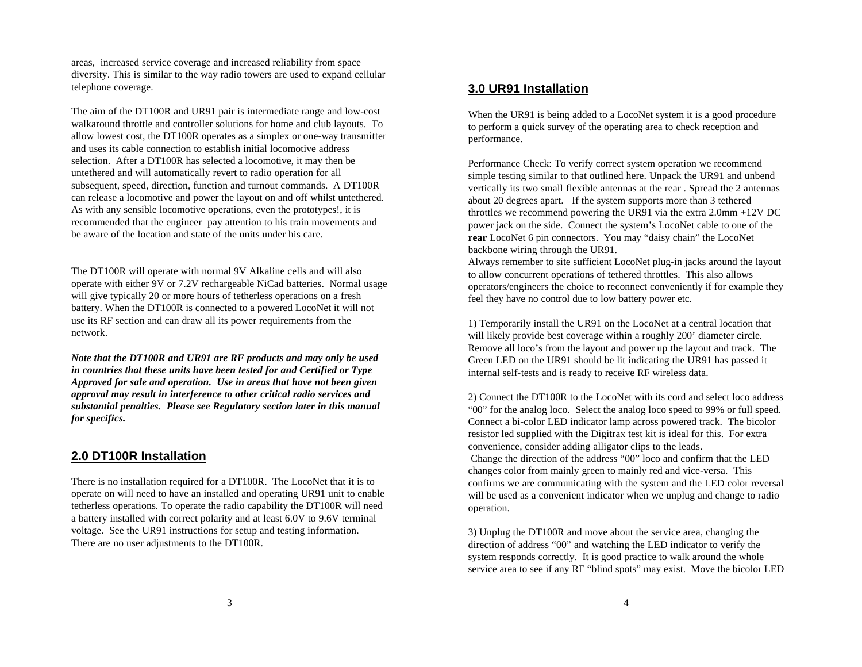areas, increased service coverage and increased reliability from space diversity. This is similar to the way radio towers are used to expand cellular telephone coverage.

The aim of the DT100R and UR91 pair is intermediate range and low-cost walkaround throttle and controller solutions for home and club layouts. To allow lowest cost, the DT100R operates as a simplex or one-way transmitter and uses its cable connection to establish initial locomotive address selection. After a DT100R has selected a locomotive, it may then be untethered and will automatically revert to radio operation for all subsequent, speed, direction, function and turnout commands. A DT100R can release a locomotive and power the layout on and off whilst untethered. As with any sensible locomotive operations, even the prototypes!, it is recommended that the engineer pay attention to his train movements and be aware of the location and state of the units under his care.

The DT100R will operate with normal 9V Alkaline cells and will also operate with either 9V or 7.2V rechargeable NiCad batteries. Normal usage will give typically 20 or more hours of tetherless operations on a fresh battery. When the DT100R is connected to a powered LocoNet it will not use its RF section and can draw all its power requirements from the network.

*Note that the DT100R and UR91 are RF products and may only be used in countries that these units have been tested for and Certified or Type Approved for sale and operation. Use in areas that have not been given approval may result in interference to other critical radio services and substantial penalties. Please see Regulatory section later in this manual for specifics.*

### **2.0 DT100R Installation**

There is no installation required for a DT100R. The LocoNet that it is to operate on will need to have an installed and operating UR91 unit to enable tetherless operations. To operate the radio capability the DT100R will need a battery installed with correct polarity and at least 6.0V to 9.6V terminal voltage. See the UR91 instructions for setup and testing information. There are no user adjustments to the DT100R.

### **3.0 UR91 Installation**

When the UR91 is being added to a LocoNet system it is a good procedure to perform a quick survey of the operating area to check reception and performance.

Performance Check: To verify correct system operation we recommend simple testing similar to that outlined here. Unpack the UR91 and unbend vertically its two small flexible antennas at the rear . Spread the 2 antennas about 20 degrees apart. If the system supports more than 3 tethered throttles we recommend powering the UR91 via the extra 2.0mm +12V DC power jack on the side. Connect the system's LocoNet cable to one of the **rear** LocoNet 6 pin connectors. You may "daisy chain" the LocoNet backbone wiring through the UR91.

Always remember to site sufficient LocoNet plug-in jacks around the layout to allow concurrent operations of tethered throttles. This also allows operators/engineers the choice to reconnect conveniently if for example they feel they have no control due to low battery power etc.

1) Temporarily install the UR91 on the LocoNet at a central location that will likely provide best coverage within a roughly 200' diameter circle. Remove all loco's from the layout and power up the layout and track. The Green LED on the UR91 should be lit indicating the UR91 has passed it internal self-tests and is ready to receive RF wireless data.

2) Connect the DT100R to the LocoNet with its cord and select loco address "00" for the analog loco. Select the analog loco speed to 99% or full speed. Connect a bi-color LED indicator lamp across powered track. The bicolor resistor led supplied with the Digitrax test kit is ideal for this. For extra convenience, consider adding alligator clips to the leads. Change the direction of the address "00" loco and confirm that the LED changes color from mainly green to mainly red and vice-versa. This confirms we are communicating with the system and the LED color reversal will be used as a convenient indicator when we unplug and change to radio operation.

3) Unplug the DT100R and move about the service area, changing the direction of address "00" and watching the LED indicator to verify the system responds correctly. It is good practice to walk around the whole service area to see if any RF "blind spots" may exist. Move the bicolor LED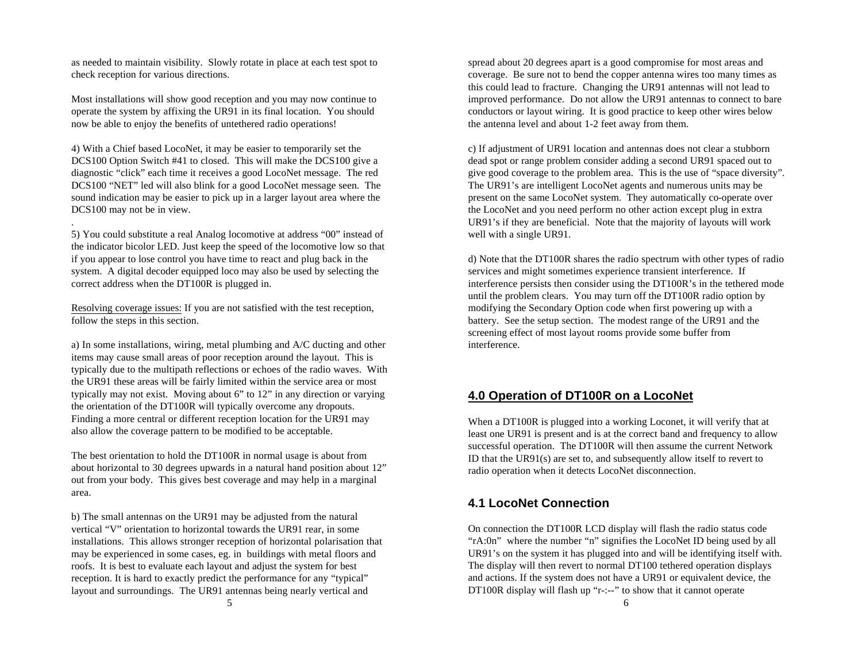as needed to maintain visibility. Slowly rotate in place at each test spot to check reception for various directions.

Most installations will show good reception and you may now continue to operate the system by affixing the UR91 in its final location. You should now be able to enjoy the benefits of untethered radio operations!

4) With a Chief based LocoNet, it may be easier to temporarily set the DCS100 Option Switch #41 to closed. This will make the DCS100 give a diagnostic "click" each time it receives a good LocoNet message. The red DCS100 "NET" led will also blink for a good LocoNet message seen. The sound indication may be easier to pick up in a larger layout area where the DCS100 may not be in view.

.

5) You could substitute a real Analog locomotive at address "00" instead of the indicator bicolor LED. Just keep the speed of the locomotive low so that if you appear to lose control you have time to react and plug back in the system. A digital decoder equipped loco may also be used by selecting the correct address when the DT100R is plugged in.

Resolving coverage issues: If you are not satisfied with the test reception, follow the steps in this section.

a) In some installations, wiring, metal plumbing and A/C ducting and other items may cause small areas of poor reception around the layout. This is typically due to the multipath reflections or echoes of the radio waves. With the UR91 these areas will be fairly limited within the service area or most typically may not exist. Moving about 6" to 12" in any direction or varying the orientation of the DT100R will typically overcome any dropouts. Finding a more central or different reception location for the UR91 may also allow the coverage pattern to be modified to be acceptable.

The best orientation to hold the DT100R in normal usage is about from about horizontal to 30 degrees upwards in a natural hand position about 12" out from your body. This gives best coverage and may help in a marginal area.

b) The small antennas on the UR91 may be adjusted from the natural vertical "V" orientation to horizontal towards the UR91 rear, in some installations. This allows stronger reception of horizontal polarisation that may be experienced in some cases, eg. in buildings with metal floors and roofs. It is best to evaluate each layout and adjust the system for best reception. It is hard to exactly predict the performance for any "typical" layout and surroundings. The UR91 antennas being nearly vertical and

spread about 20 degrees apart is a good compromise for most areas and coverage. Be sure not to bend the copper antenna wires too many times as this could lead to fracture. Changing the UR91 antennas will not lead to improved performance. Do not allow the UR91 antennas to connect to bare conductors or layout wiring. It is good practice to keep other wires below the antenna level and about 1-2 feet away from them.

c) If adjustment of UR91 location and antennas does not clear a stubborn dead spot or range problem consider adding a second UR91 spaced out to give good coverage to the problem area. This is the use of "space diversity". The UR91's are intelligent LocoNet agents and numerous units may be present on the same LocoNet system. They automatically co-operate over the LocoNet and you need perform no other action except plug in extra UR91's if they are beneficial. Note that the majority of layouts will work well with a single UR91.

d) Note that the DT100R shares the radio spectrum with other types of radio services and might sometimes experience transient interference. If interference persists then consider using the DT100R's in the tethered mode until the problem clears. You may turn off the DT100R radio option by modifying the Secondary Option code when first powering up with a battery. See the setup section. The modest range of the UR91 and the screening effect of most layout rooms provide some buffer from interference.

### **4.0 Operation of DT100R on a LocoNet**

When a DT100R is plugged into a working Loconet, it will verify that at least one UR91 is present and is at the correct band and frequency to allow successful operation. The DT100R will then assume the current Network ID that the UR91(s) are set to, and subsequently allow itself to revert to radio operation when it detects LocoNet disconnection.

## **4.1 LocoNet Connection**

On connection the DT100R LCD display will flash the radio status code "rA:0n" where the number "n" signifies the LocoNet ID being used by all UR91's on the system it has plugged into and will be identifying itself with. The display will then revert to normal DT100 tethered operation displays and actions. If the system does not have a UR91 or equivalent device, the DT100R display will flash up "r-:--" to show that it cannot operate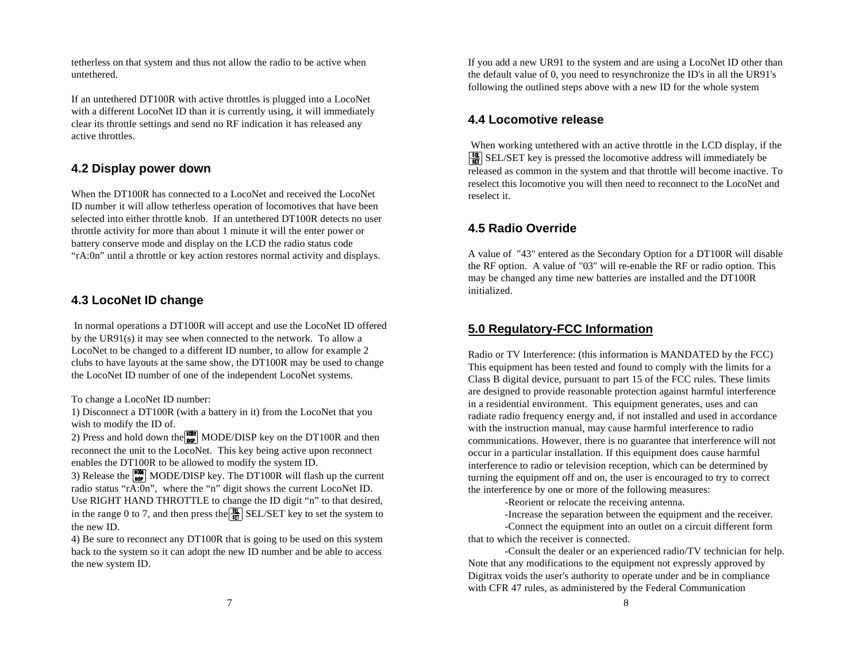tetherless on that system and thus not allow the radio to be active when untethered.

If an untethered DT100R with active throttles is plugged into a LocoNet with a different LocoNet ID than it is currently using, it will immediately clear its throttle settings and send no RF indication it has released any active throttles.

# **4.2 Display power down**

When the DT100R has connected to a LocoNet and received the LocoNet ID number it will allow tetherless operation of locomotives that have been selected into either throttle knob. If an untethered DT100R detects no user throttle activity for more than about 1 minute it will the enter power or battery conserve mode and display on the LCD the radio status code "rA:0n" until a throttle or key action restores normal activity and displays.

## **4.3 LocoNet ID change**

 In normal operations a DT100R will accept and use the LocoNet ID offered by the UR91(s) it may see when connected to the network. To allow a LocoNet to be changed to a different ID number, to allow for example 2 clubs to have layouts at the same show, the DT100R may be used to change the LocoNet ID number of one of the independent LocoNet systems.

To change a LocoNet ID number:

1) Disconnect a DT100R (with a battery in it) from the LocoNet that you wish to modify the ID of.

2) Press and hold down the  $\frac{1}{100}$  MODE/DISP key on the DT100R and then reconnect the unit to the LocoNet. This key being active upon reconnect enables the DT100R to be allowed to modify the system ID.

3) Release the  $\begin{bmatrix} \text{WOR} \\ \text{MSP} \end{bmatrix}$  MODE/DISP key. The DT100R will flash up the current radio status "r $\overline{A:0}$ n", where the "n" digit shows the current LocoNet ID. Use RIGHT HAND THROTTLE to change the ID digit "n" to that desired, in the range 0 to 7, and then press the  $\frac{3\pi}{6\pi}$  SEL/SET key to set the system to the new ID.

4) Be sure to reconnect any DT100R that is going to be used on this system back to the system so it can adopt the new ID number and be able to access the new system ID.

If you add a new UR91 to the system and are using a LocoNet ID other than the default value of 0, you need to resynchronize the ID's in all the UR91's following the outlined steps above with a new ID for the whole system

## **4.4 Locomotive release**

 When working untethered with an active throttle in the LCD display, if the  $\frac{38}{10}$  SEL/SET key is pressed the locomotive address will immediately be released as common in the system and that throttle will become inactive. To reselect this locomotive you will then need to reconnect to the LocoNet and reselect it.

# **4.5 Radio Override**

A value of "43" entered as the Secondary Option for a DT100R will disable the RF option. A value of "03" will re-enable the RF or radio option. This may be changed any time new batteries are installed and the DT100R initialized.

# **5.0 Regulatory-FCC Information**

Radio or TV Interference: (this information is MANDATED by the FCC) This equipment has been tested and found to comply with the limits for a Class B digital device, pursuant to part 15 of the FCC rules. These limits are designed to provide reasonable protection against harmful interference in a residential environment. This equipment generates, uses and can radiate radio frequency energy and, if not installed and used in accordance with the instruction manual, may cause harmful interference to radio communications. However, there is no guarantee that interference will not occur in a particular installation. If this equipment does cause harmful interference to radio or television reception, which can be determined by turning the equipment off and on, the user is encouraged to try to correct the interference by one or more of the following measures:

-Reorient or relocate the receiving antenna.

-Increase the separation between the equipment and the receiver.

-Connect the equipment into an outlet on a circuit different form that to which the receiver is connected.

-Consult the dealer or an experienced radio/TV technician for help. Note that any modifications to the equipment not expressly approved by Digitrax voids the user's authority to operate under and be in compliance with CFR 47 rules, as administered by the Federal Communication